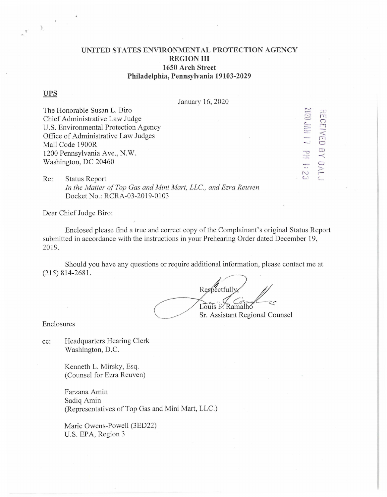# **UNITED STATES ENVIRONMENTAL PROTECTION AGENCY REGION III 1650 Arch Street Philadelphia, Pennsylvania 19103-2029**

### **UPS**

 $\mathbb{B}$ 

January 16, 2020

The Honorable Susan L. Biro Chief Administrative Law Judge U.S. Environmental Protection Agency Office of Administrative Law Judges Mail Code 1900R 1200 Pennsylvania Ave., N.W. Washington, DC 20460

7J RECE  $\frac{1}{2}$  $\Box$ CD - C  $\ddot{\circ}$   $\approx$  $C$ 

Re: Status Report In the Matter of Top Gas and Mini Mart, LLC., and Ezra Reuven Docket No.: RCRA-03-2019-0103

Dear Chief Judge Biro:

Enclosed please find a true and correct copy of the Complainant's original Status Report submitted in accordance with the instructions in your Prehearing Order dated December 19, 2019.

Should you have any questions or require additional information, please contact me at (215) 814-2681.

,• tfully,  $\frac{1}{2}$  $\frac{C}{2}$  Ramalho Sr. Assistant Regional Counsel

Enclosures

cc: Headquarters Hearing Clerk Washington, D.C.

> Kenneth L. Mirsky, Esq. (Counsel for Ezra Reuven)

Farzana Amin Sadiq Amin (Representatives of Top Gas and Mini Mart, LLC.)

Marie Owens-Powell (3ED22) U.S. EPA, Region 3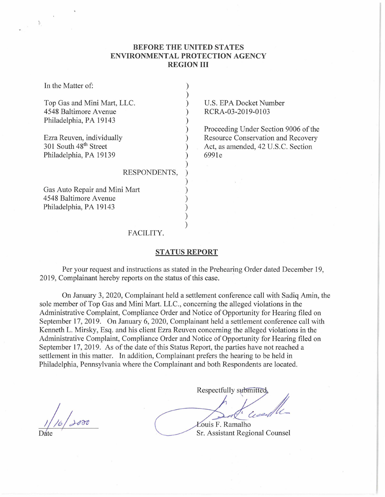# **BEFORE THE UNITED STATES ENVIRONMENTAL PROTECTION AGENCY REGION III**

| In the Matter of:                 |                                      |
|-----------------------------------|--------------------------------------|
| Top Gas and Mini Mart, LLC.       | U.S. EPA Docket Number               |
| 4548 Baltimore Avenue             | RCRA-03-2019-0103                    |
| Philadelphia, PA 19143            |                                      |
|                                   | Proceeding Under Section 9006 of the |
| Ezra Reuven, individually         | Resource Conservation and Recovery   |
| 301 South 48 <sup>th</sup> Street | Act, as amended, 42 U.S.C. Section   |
| Philadelphia, PA 19139            | 6991e                                |
|                                   |                                      |
| RESPONDENTS,                      |                                      |
|                                   |                                      |
| Gas Auto Repair and Mini Mart     |                                      |
| 4548 Baltimore Avenue             |                                      |
| Philadelphia, PA 19143            |                                      |
|                                   |                                      |
|                                   |                                      |
| FACILITY.                         |                                      |

## **STATUS REPORT**

Per your request and instructions as stated in the Prehearing Order dated December 19, 2019, Complainant hereby reports on the status of this case.

On January 3, 2020, Complainant held a settlement conference call with Sadiq Amin, the sole member of Top Gas and Mini Mart. LLC., concerning the alleged violations in the Administrative Complaint, Compliance Order and Notice of Opportunity for Hearing filed on September 17, 2019. On January 6, 2020, Complainant held a settlement conference call with Kenneth L. Mirsky, Esq. and his client Ezra Reuven concerning the alleged violations in the Administrative Complaint, Compliance Order and Notice of Opportunity for Hearing filed on September 17, 2019. As of the date of this Status Report, the parties have not reached a settlement in this matter. In addition, Complainant prefers the hearing to be held in Philadelphia, Pennsylvania where the Complainant and both Respondents are located.

*,)--&o1J* 

Þ.

Respectfully submitted. Cessey **Łouis F. Ramalho** 

Sr. Assistant Regional Counsel